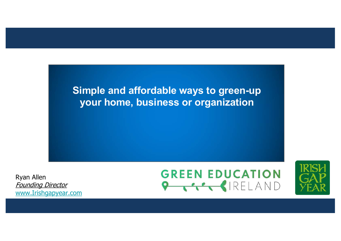

Ryan Allen Founding Director [www.Irishgapyear.co](http://www.irishgapyear.com/)m

## **GREEN EDUCATION PICK SIRELAND**

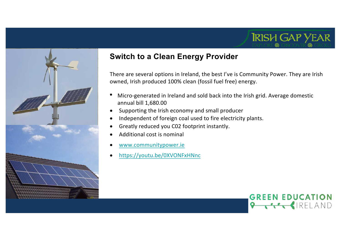

## **Switch to a Clean Energy Provider**

There are several options in Ireland, the best I've is Community Power. They are Irish owned, Irish produced 100% clean (fossil fuel free) energy.

- Micro-generated in Ireland and sold back into the Irish grid. Average domestic annual bill 1,680.00
- Supporting the Irish economy and small producer
- Independent of foreign coal used to fire electricity plants.
- Greatly reduced you C02 footprint instantly.
- Additional cost is nominal
- [www.communitypower.](http://www.communitypower.ie/)ie
- [https://youtu.be/0XVONFxHNn](https://youtu.be/0XVONFxHNnc)c

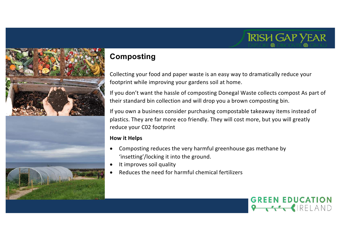



## **Composting**

Collecting your food and paper waste is an easy way to dramatically reduce your footprint while improving your gardens soil at home.

If you don't want the hassle of composting Donegal Waste collects compost As part of their standard bin collection and will drop you a brown composting bin.

If you own a business consider purchasing compostable takeaway items instead of plastics. They are far more eco friendly. They will cost more, but you will greatly reduce your C02 footprint

### **How it Helps**

- Composting reduces the very harmful greenhouse gas methane by 'insetting'/locking it into the ground.
- It improves soil quality
- Reduces the need for harmful chemical fertilizers

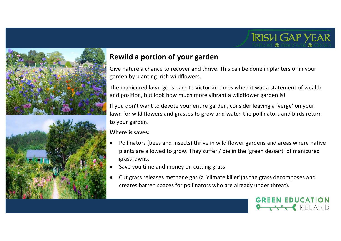# **IRISH GAP YEAR**



## **Rewild a portion of your garden**

Give nature a chance to recover and thrive. This can be done in planters or in your garden by planting Irish wildflowers.

The manicured lawn goes back to Victorian times when it was a statement of wealth and position, but look how much more vibrant a wildflower garden is!

If you don't want to devote your entire garden, consider leaving a 'verge' on your lawn for wild flowers and grasses to grow and watch the pollinators and birds return to your garden.

#### **Where is saves:**

- Pollinators (bees and insects) thrive in wild flower gardens and areas where native plants are allowed to grow. They suffer / die in the 'green dessert' of manicured grass lawns.
- Save you time and money on cutting grass
- Cut grass releases methane gas (a 'climate killer')as the grass decomposes and creates barren spaces for pollinators who are already under threat).

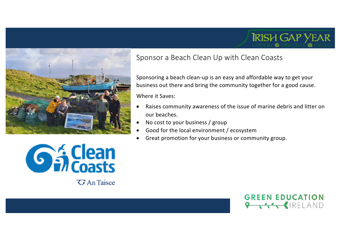

## Sponsor a Beach Clean Up with Clean Coasts

Sponsoring a beach clean-up is an easy and affordable way to get your business out there and bring the community together for a good cause.

Where it Saves:

- Raises community awareness of the issue of marine debris and litter on our beaches.
- No cost to your business / group
- Good for the local environment / ecosystem
- Great promotion for your business or community group.



*G* An Taisce

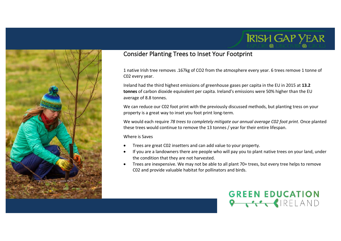

## Consider Planting Trees to Inset Your Footprint

1 native Irish tree removes .167kg of CO2 from the atmosphere every year. 6 trees remove 1 tonne of C02 every year.

Ireland had the third highest emissions of greenhouse gases per capita in the EU in 2015 at **13.2 tonnes** of carbon dioxide equivalent per capita. Ireland's emissions were 50% higher than the EU average of 8.8 tonnes.

We can reduce our C02 foot print with the previously discussed methods, but planting tress on your property is a great way to inset you foot print long-term.

We would each require *78 trees to completely mitigate our annual average C02 foot print*. Once planted these trees would continue to remove the 13 tonnes / year for their entire lifespan.

Where is Saves

- Trees are great C02 insetters and can add value to your property.
- If you are a landowners there are people who will pay you to plant native trees on your land, under the condition that they are not harvested.
- Trees are inexpensive. We may not be able to all plant 70+ trees, but every tree helps to remove C02 and provide valuable habitat for pollinators and birds.